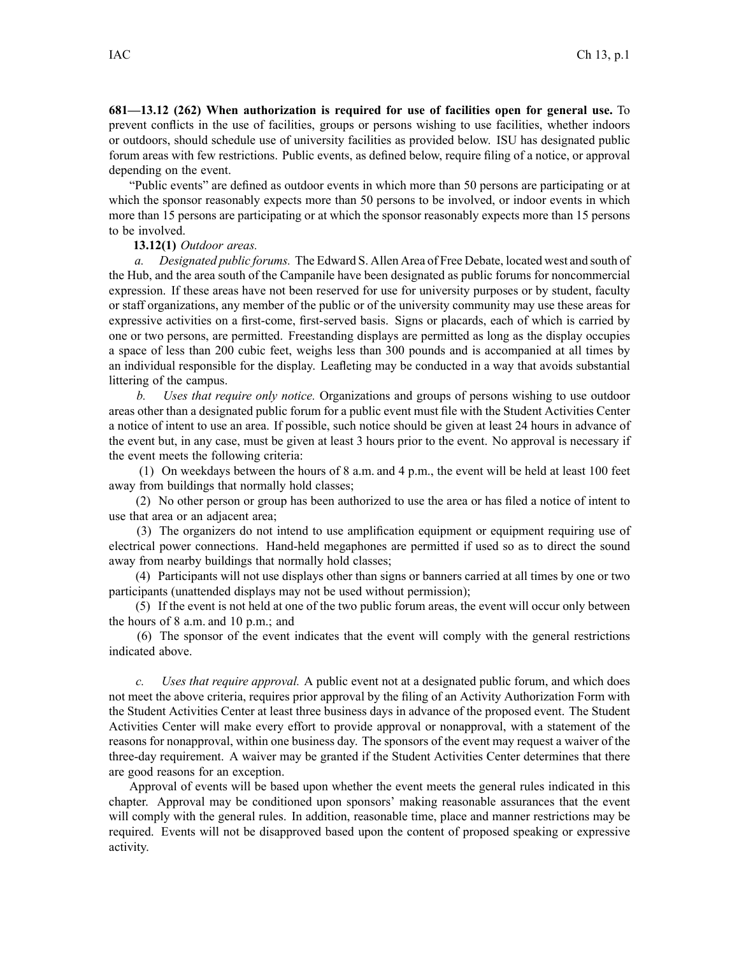**681—13.12 (262) When authorization is required for use of facilities open for general use.** To preven<sup>t</sup> conflicts in the use of facilities, groups or persons wishing to use facilities, whether indoors or outdoors, should schedule use of university facilities as provided below. ISU has designated public forum areas with few restrictions. Public events, as defined below, require filing of <sup>a</sup> notice, or approval depending on the event.

"Public events" are defined as outdoor events in which more than 50 persons are participating or at which the sponsor reasonably expects more than 50 persons to be involved, or indoor events in which more than 15 persons are participating or at which the sponsor reasonably expects more than 15 persons to be involved.

## **13.12(1)** *Outdoor areas.*

*a. Designated public forums.* The Edward S. Allen Area of Free Debate, located west and south of the Hub, and the area south of the Campanile have been designated as public forums for noncommercial expression. If these areas have not been reserved for use for university purposes or by student, faculty or staff organizations, any member of the public or of the university community may use these areas for expressive activities on <sup>a</sup> first-come, first-served basis. Signs or placards, each of which is carried by one or two persons, are permitted. Freestanding displays are permitted as long as the display occupies <sup>a</sup> space of less than 200 cubic feet, weighs less than 300 pounds and is accompanied at all times by an individual responsible for the display. Leafleting may be conducted in <sup>a</sup> way that avoids substantial littering of the campus.

*b. Uses that require only notice.* Organizations and groups of persons wishing to use outdoor areas other than <sup>a</sup> designated public forum for <sup>a</sup> public event must file with the Student Activities Center <sup>a</sup> notice of intent to use an area. If possible, such notice should be given at least 24 hours in advance of the event but, in any case, must be given at least 3 hours prior to the event. No approval is necessary if the event meets the following criteria:

(1) On weekdays between the hours of 8 a.m. and 4 p.m., the event will be held at least 100 feet away from buildings that normally hold classes;

(2) No other person or group has been authorized to use the area or has filed <sup>a</sup> notice of intent to use that area or an adjacent area;

(3) The organizers do not intend to use amplification equipment or equipment requiring use of electrical power connections. Hand-held megaphones are permitted if used so as to direct the sound away from nearby buildings that normally hold classes;

(4) Participants will not use displays other than signs or banners carried at all times by one or two participants (unattended displays may not be used without permission);

(5) If the event is not held at one of the two public forum areas, the event will occur only between the hours of 8 a.m. and 10 p.m.; and

(6) The sponsor of the event indicates that the event will comply with the general restrictions indicated above.

*c. Uses that require approval.* A public event not at <sup>a</sup> designated public forum, and which does not meet the above criteria, requires prior approval by the filing of an Activity Authorization Form with the Student Activities Center at least three business days in advance of the proposed event. The Student Activities Center will make every effort to provide approval or nonapproval, with <sup>a</sup> statement of the reasons for nonapproval, within one business day. The sponsors of the event may reques<sup>t</sup> <sup>a</sup> waiver of the three-day requirement. A waiver may be granted if the Student Activities Center determines that there are good reasons for an exception.

Approval of events will be based upon whether the event meets the general rules indicated in this chapter. Approval may be conditioned upon sponsors' making reasonable assurances that the event will comply with the general rules. In addition, reasonable time, place and manner restrictions may be required. Events will not be disapproved based upon the content of proposed speaking or expressive activity.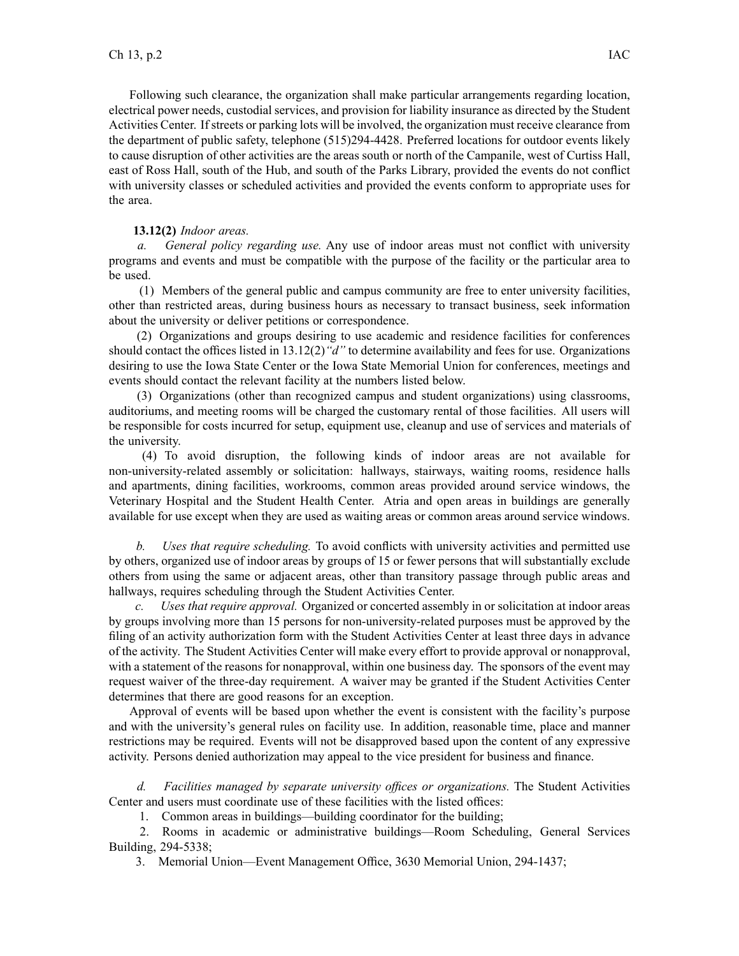Following such clearance, the organization shall make particular arrangements regarding location, electrical power needs, custodial services, and provision for liability insurance as directed by the Student Activities Center. If streets or parking lots will be involved, the organization must receive clearance from the department of public safety, telephone (515)294-4428. Preferred locations for outdoor events likely to cause disruption of other activities are the areas south or north of the Campanile, west of Curtiss Hall, east of Ross Hall, south of the Hub, and south of the Parks Library, provided the events do not conflict with university classes or scheduled activities and provided the events conform to appropriate uses for the area.

## **13.12(2)** *Indoor areas.*

*a. General policy regarding use.* Any use of indoor areas must not conflict with university programs and events and must be compatible with the purpose of the facility or the particular area to be used.

(1) Members of the general public and campus community are free to enter university facilities, other than restricted areas, during business hours as necessary to transact business, seek information about the university or deliver petitions or correspondence.

(2) Organizations and groups desiring to use academic and residence facilities for conferences should contact the offices listed in 13.12(2)*"d"* to determine availability and fees for use. Organizations desiring to use the Iowa State Center or the Iowa State Memorial Union for conferences, meetings and events should contact the relevant facility at the numbers listed below.

(3) Organizations (other than recognized campus and student organizations) using classrooms, auditoriums, and meeting rooms will be charged the customary rental of those facilities. All users will be responsible for costs incurred for setup, equipment use, cleanup and use of services and materials of the university.

(4) To avoid disruption, the following kinds of indoor areas are not available for non-university-related assembly or solicitation: hallways, stairways, waiting rooms, residence halls and apartments, dining facilities, workrooms, common areas provided around service windows, the Veterinary Hospital and the Student Health Center. Atria and open areas in buildings are generally available for use excep<sup>t</sup> when they are used as waiting areas or common areas around service windows.

*b. Uses that require scheduling.* To avoid conflicts with university activities and permitted use by others, organized use of indoor areas by groups of 15 or fewer persons that will substantially exclude others from using the same or adjacent areas, other than transitory passage through public areas and hallways, requires scheduling through the Student Activities Center.

*c. Uses that require approval.* Organized or concerted assembly in or solicitation at indoor areas by groups involving more than 15 persons for non-university-related purposes must be approved by the filing of an activity authorization form with the Student Activities Center at least three days in advance of the activity. The Student Activities Center will make every effort to provide approval or nonapproval, with <sup>a</sup> statement of the reasons for nonapproval, within one business day. The sponsors of the event may reques<sup>t</sup> waiver of the three-day requirement. A waiver may be granted if the Student Activities Center determines that there are good reasons for an exception.

Approval of events will be based upon whether the event is consistent with the facility's purpose and with the university's general rules on facility use. In addition, reasonable time, place and manner restrictions may be required. Events will not be disapproved based upon the content of any expressive activity. Persons denied authorization may appeal to the vice president for business and finance.

*d. Facilities managed by separate university offices or organizations.* The Student Activities Center and users must coordinate use of these facilities with the listed offices:

1. Common areas in buildings—building coordinator for the building;

2. Rooms in academic or administrative buildings—Room Scheduling, General Services Building, 294-5338;

3. Memorial Union—Event Management Office, 3630 Memorial Union, 294-1437;